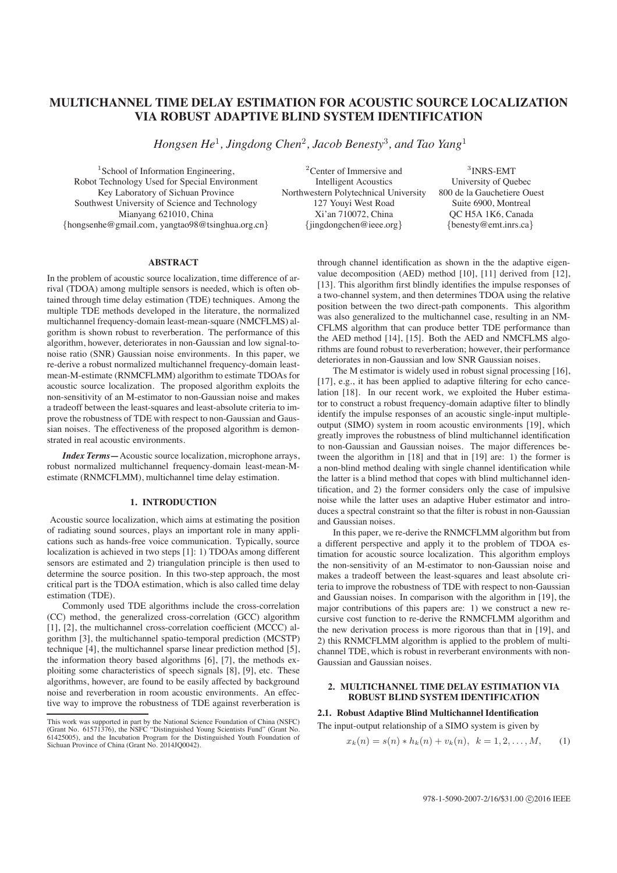# **MULTICHANNEL TIME DELAY ESTIMATION FOR ACOUSTIC SOURCE LOCALIZATION VIA ROBUST ADAPTIVE BLIND SYSTEM IDENTIFICATION**

*Hongsen He*<sup>1</sup>*, Jingdong Chen*<sup>2</sup>*, Jacob Benesty*<sup>3</sup>*, and Tao Yang*<sup>1</sup>

Robot Technology Used for Special Environment Key Laboratory of Sichuan Province Northwestern Polytechnical University 800 de la Gauchetiere Ouest Southwest University of Science and Technology 127 Youyi West Road Suite 6900, Montreal  ${hongsehhe@gmail.com}$ , vangtao98@tsinghua.org.cn

<sup>1</sup>School of Information Engineering, <sup>2</sup>Center of Immersive and <sup>3</sup>INRS-EMT<br>Technology Used for Special Environment 11telligent Acoustics University of Quebec Mianyang 621010, China Xi'an 710072, China QC H5A 1K6, Canada

## **ABSTRACT**

In the problem of acoustic source localization, time difference of arrival (TDOA) among multiple sensors is needed, which is often obtained through time delay estimation (TDE) techniques. Among the multiple TDE methods developed in the literature, the normalized multichannel frequency-domain least-mean-square (NMCFLMS) algorithm is shown robust to reverberation. The performance of this algorithm, however, deteriorates in non-Gaussian and low signal-tonoise ratio (SNR) Gaussian noise environments. In this paper, we re-derive a robust normalized multichannel frequency-domain leastmean-M-estimate (RNMCFLMM) algorithm to estimate TDOAs for acoustic source localization. The proposed algorithm exploits the non-sensitivity of an M-estimator to non-Gaussian noise and makes a tradeoff between the least-squares and least-absolute criteria to improve the robustness of TDE with respect to non-Gaussian and Gaussian noises. The effectiveness of the proposed algorithm is demonstrated in real acoustic environments.

*Index Terms***—**Acoustic source localization, microphone arrays, robust normalized multichannel frequency-domain least-mean-Mestimate (RNMCFLMM), multichannel time delay estimation.

## **1. INTRODUCTION**

Acoustic source localization, which aims at estimating the position of radiating sound sources, plays an important role in many applications such as hands-free voice communication. Typically, source localization is achieved in two steps [1]: 1) TDOAs among different sensors are estimated and 2) triangulation principle is then used to determine the source position. In this two-step approach, the most critical part is the TDOA estimation, which is also called time delay estimation (TDE).

Commonly used TDE algorithms include the cross-correlation (CC) method, the generalized cross-correlation (GCC) algorithm [1], [2], the multichannel cross-correlation coefficient (MCCC) algorithm [3], the multichannel spatio-temporal prediction (MCSTP) technique [4], the multichannel sparse linear prediction method [5], the information theory based algorithms [6], [7], the methods exploiting some characteristics of speech signals [8], [9], etc. These algorithms, however, are found to be easily affected by background noise and reverberation in room acoustic environments. An effective way to improve the robustness of TDE against reverberation is through channel identification as shown in the the adaptive eigenvalue decomposition (AED) method [10], [11] derived from [12], [13]. This algorithm first blindly identifies the impulse responses of a two-channel system, and then determines TDOA using the relative position between the two direct-path components. This algorithm was also generalized to the multichannel case, resulting in an NM-CFLMS algorithm that can produce better TDE performance than the AED method [14], [15]. Both the AED and NMCFLMS algorithms are found robust to reverberation; however, their performance deteriorates in non-Gaussian and low SNR Gaussian noises.

The M estimator is widely used in robust signal processing [16], [17], e.g., it has been applied to adaptive filtering for echo cancelation [18]. In our recent work, we exploited the Huber estimator to construct a robust frequency-domain adaptive filter to blindly identify the impulse responses of an acoustic single-input multipleoutput (SIMO) system in room acoustic environments [19], which greatly improves the robustness of blind multichannel identification to non-Gaussian and Gaussian noises. The major differences between the algorithm in [18] and that in [19] are: 1) the former is a non-blind method dealing with single channel identification while the latter is a blind method that copes with blind multichannel identification, and 2) the former considers only the case of impulsive noise while the latter uses an adaptive Huber estimator and introduces a spectral constraint so that the filter is robust in non-Gaussian and Gaussian noises.

In this paper, we re-derive the RNMCFLMM algorithm but from a different perspective and apply it to the problem of TDOA estimation for acoustic source localization. This algorithm employs the non-sensitivity of an M-estimator to non-Gaussian noise and makes a tradeoff between the least-squares and least absolute criteria to improve the robustness of TDE with respect to non-Gaussian and Gaussian noises. In comparison with the algorithm in [19], the major contributions of this papers are: 1) we construct a new recursive cost function to re-derive the RNMCFLMM algorithm and the new derivation process is more rigorous than that in [19], and 2) this RNMCFLMM algorithm is applied to the problem of multichannel TDE, which is robust in reverberant environments with non-Gaussian and Gaussian noises.

## **2. MULTICHANNEL TIME DELAY ESTIMATION VIA ROBUST BLIND SYSTEM IDENTIFICATION**

# **2.1. Robust Adaptive Blind Multichannel Identification**

The input-output relationship of a SIMO system is given by

$$
x_k(n) = s(n) * h_k(n) + v_k(n), \ \ k = 1, 2, \dots, M,
$$
 (1)

This work was supported in part by the National Science Foundation of China (NSFC) (Grant No. 61571376), the NSFC "Distinguished Young Scientists Fund" (Grant No. 61425005), and the Incubation Program for the Distinguished Youth Foundation of Sichuan Province of China (Grant No. 2014JQ0042).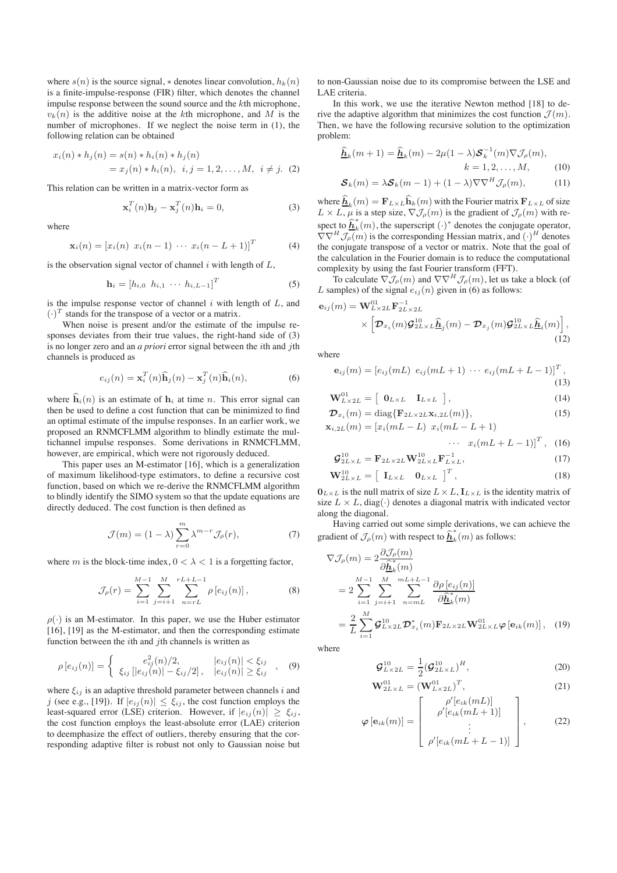where  $s(n)$  is the source signal, \* denotes linear convolution,  $h_k(n)$ is a finite-impulse-response (FIR) filter, which denotes the channel impulse response between the sound source and the kth microphone,  $v_k(n)$  is the additive noise at the kth microphone, and M is the number of microphones. If we neglect the noise term in (1), the following relation can be obtained

$$
x_i(n) * h_j(n) = s(n) * h_i(n) * h_j(n)
$$
  
=  $x_j(n) * h_i(n), i, j = 1, 2, ..., M, i \neq j.$  (2)

This relation can be written in a matrix-vector form as

$$
\mathbf{x}_i^T(n)\mathbf{h}_j - \mathbf{x}_j^T(n)\mathbf{h}_i = 0,
$$
\n(3)

where

$$
\mathbf{x}_{i}(n) = [x_{i}(n) \ \ x_{i}(n-1) \ \cdots \ x_{i}(n-L+1)]^{T}
$$
 (4)

is the observation signal vector of channel  $i$  with length of  $L$ ,

$$
\mathbf{h}_{i} = [h_{i,0} \ \ h_{i,1} \ \cdots \ h_{i,L-1}]^{T} \tag{5}
$$

is the impulse response vector of channel  $i$  with length of  $L$ , and  $(\cdot)^T$  stands for the transpose of a vector or a matrix.

When noise is present and/or the estimate of the impulse responses deviates from their true values, the right-hand side of (3) is no longer zero and an *a priori* error signal between the ith and jth channels is produced as

$$
e_{ij}(n) = \mathbf{x}_i^T(n)\widehat{\mathbf{h}}_j(n) - \mathbf{x}_j^T(n)\widehat{\mathbf{h}}_i(n),
$$
 (6)

where  $\hat{\mathbf{h}}_i(n)$  is an estimate of  $\mathbf{h}_i$  at time n. This error signal can then be used to define a cost function that can be minimized to find an optimal estimate of the impulse responses. In an earlier work, we proposed an RNMCFLMM algorithm to blindly estimate the multichannel impulse responses. Some derivations in RNMCFLMM, however, are empirical, which were not rigorously deduced.

This paper uses an M-estimator [16], which is a generalization of maximum likelihood-type estimators, to define a recursive cost function, based on which we re-derive the RNMCFLMM algorithm to blindly identify the SIMO system so that the update equations are directly deduced. The cost function is then defined as

$$
\mathcal{J}(m) = (1 - \lambda) \sum_{r=0}^{m} \lambda^{m-r} \mathcal{J}_{\rho}(r), \tag{7}
$$

where m is the block-time index,  $0 < \lambda < 1$  is a forgetting factor,

$$
\mathcal{J}_{\rho}(r) = \sum_{i=1}^{M-1} \sum_{j=i+1}^{M} \sum_{n=rL}^{rL+L-1} \rho \left[ e_{ij}(n) \right],\tag{8}
$$

 $\rho(\cdot)$  is an M-estimator. In this paper, we use the Huber estimator [16], [19] as the M-estimator, and then the corresponding estimate function between the  $i$ th and  $j$ th channels is written as

$$
\rho[e_{ij}(n)] = \begin{cases}\n e_{ij}^2(n)/2, & |e_{ij}(n)| < \xi_{ij} \\
 \xi_{ij} \left[ |e_{ij}(n)| - \xi_{ij}/2 \right], & |e_{ij}(n)| \ge \xi_{ij}\n\end{cases}, \quad (9)
$$

where  $\xi_{ij}$  is an adaptive threshold parameter between channels i and j (see e.g., [19]). If  $|e_{ij}(n)| \leq \xi_{ij}$ , the cost function employs the least-squared error (LSE) criterion. However, if  $|e_{ij}(n)| \geq \xi_{ij}$ , the cost function employs the least-absolute error (LAE) criterion to deemphasize the effect of outliers, thereby ensuring that the corresponding adaptive filter is robust not only to Gaussian noise but to non-Gaussian noise due to its compromise between the LSE and LAE criteria.

In this work, we use the iterative Newton method [18] to derive the adaptive algorithm that minimizes the cost function  $\mathcal{J}(m)$ . Then, we have the following recursive solution to the optimization problem:

$$
\begin{aligned}\n\widehat{\mathbf{h}}_k(m+1) &= \widehat{\mathbf{h}}_k(m) - 2\mu(1-\lambda)\mathcal{S}_k^{-1}(m)\nabla \mathcal{J}_\rho(m), \\
k &= 1, 2, \dots, M,\n\end{aligned} \tag{10}
$$
\n
$$
\mathcal{S}_k(m) = \lambda \mathcal{S}_k(m-1) + (1-\lambda)\nabla \nabla^H \mathcal{J}_\rho(m),\n\tag{11}
$$

where  $\hat{\mathbf{h}}_k(m) = \mathbf{F}_{L \times L} \hat{\mathbf{h}}_k(m)$  with the Fourier matrix  $\mathbf{F}_{L \times L}$  of size  $L \times L$ ,  $\mu$  is a step size,  $\nabla \mathcal{J}_{\rho}(m)$  is the gradient of  $\mathcal{J}_{\rho}(m)$  with respect to  $\hat{h}^*_{k}(m)$ , the superscript (·)<sup>\*</sup> denotes the conjugate operator,  $\nabla \nabla^H \mathcal{J}_{\rho}(m)$  is the corresponding Hessian matrix, and  $(\cdot)^H$  denotes the conjugate transpose of a vector or matrix. Note that the goal of the calculation in the Fourier domain is to reduce the computational complexity by using the fast Fourier transform (FFT).

To calculate  $\nabla \mathcal{J}_{\rho}(m)$  and  $\nabla \nabla^{H} \mathcal{J}_{\rho}(m)$ , let us take a block (of L samples) of the signal  $e_{ij}(n)$  given in (6) as follows:

$$
\mathbf{e}_{ij}(m) = \mathbf{W}_{L \times 2L}^{01} \mathbf{F}_{2L \times 2L}^{-1} \times \left[ \mathbf{\mathcal{D}}_{x_i}(m) \mathbf{\mathcal{G}}_{2L \times L}^{10} \hat{\mathbf{h}}_j(m) - \mathbf{\mathcal{D}}_{x_j}(m) \mathbf{\mathcal{G}}_{2L \times L}^{10} \hat{\mathbf{h}}_i(m) \right],
$$
\n(12)

where

$$
\mathbf{e}_{ij}(m) = [e_{ij}(mL) \ \ e_{ij}(mL+1) \ \cdots \ e_{ij}(mL+L-1)]^T,
$$
\n(13)

$$
\mathbf{W}_{L \times 2L}^{01} = \begin{bmatrix} \mathbf{0}_{L \times L} & \mathbf{I}_{L \times L} \end{bmatrix},\tag{14}
$$

$$
\mathbf{\mathcal{D}}_{x_i}(m) = \text{diag}\{\mathbf{F}_{2L \times 2L}\mathbf{x}_{i,2L}(m)\},\tag{15}
$$

 $\mathbf{x}_{i,2L}(m)=[x_i(mL-L) \ x_i(mL-L+1)]$ 

$$
\cdots x_i (mL + L - 1)]^T, \quad (16)
$$

$$
\mathcal{G}^{10}_{2L \times L} = \mathbf{F}_{2L \times 2L} \mathbf{W}^{10}_{2L \times L} \mathbf{F}^{-1}_{L \times L},
$$
\n(17)

$$
\mathbf{W}_{2L \times L}^{10} = \left[ \begin{array}{cc} \mathbf{I}_{L \times L} & \mathbf{0}_{L \times L} \end{array} \right]^T, \tag{18}
$$

 $\mathbf{0}_{L\times L}$  is the null matrix of size  $L \times L$ ,  $\mathbf{I}_{L\times L}$  is the identity matrix of size  $L \times L$ , diag( $\cdot$ ) denotes a diagonal matrix with indicated vector along the diagonal.

Having carried out some simple derivations, we can achieve the gradient of  $\mathcal{J}_{\rho}(m)$  with respect to  $\widehat{\mathbf{h}}_k^*(m)$  as follows:

$$
\nabla \mathcal{J}_{\rho}(m) = 2 \frac{\partial \mathcal{J}_{\rho}(m)}{\partial \hat{\mathbf{h}}_{k}^{*}(m)}
$$
  
\n
$$
= 2 \sum_{i=1}^{M-1} \sum_{j=i+1}^{M} \sum_{n=mL}^{mL+L-1} \frac{\partial \rho[e_{ij}(n)]}{\partial \hat{\mathbf{h}}_{k}^{*}(m)}
$$
  
\n
$$
= \frac{2}{L} \sum_{i=1}^{M} \mathcal{G}_{L \times 2L}^{10} \mathcal{D}_{x_{i}}^{*}(m) \mathbf{F}_{2L \times 2L} \mathbf{W}_{2L \times L}^{01} \varphi[e_{ik}(m)], \quad (19)
$$

where

$$
\mathcal{G}_{L \times 2L}^{10} = \frac{1}{2} (\mathcal{G}_{2L \times L}^{10})^H,
$$
 (20)

$$
\mathbf{W}_{2L \times L}^{01} = (\mathbf{W}_{L \times 2L}^{01})^T, \tag{21}
$$
\n
$$
\begin{bmatrix}\n\mathbf{\sigma}'[e_{ik}(mL)] & \mathbf{1}\n\end{bmatrix}
$$

$$
\varphi[\mathbf{e}_{ik}(m)] = \begin{bmatrix} \rho'[e_{ik}(mL)] \\ \rho'[e_{ik}(mL+1)] \\ \vdots \\ \rho'[e_{ik}(mL+L-1)] \end{bmatrix}, \qquad (22)
$$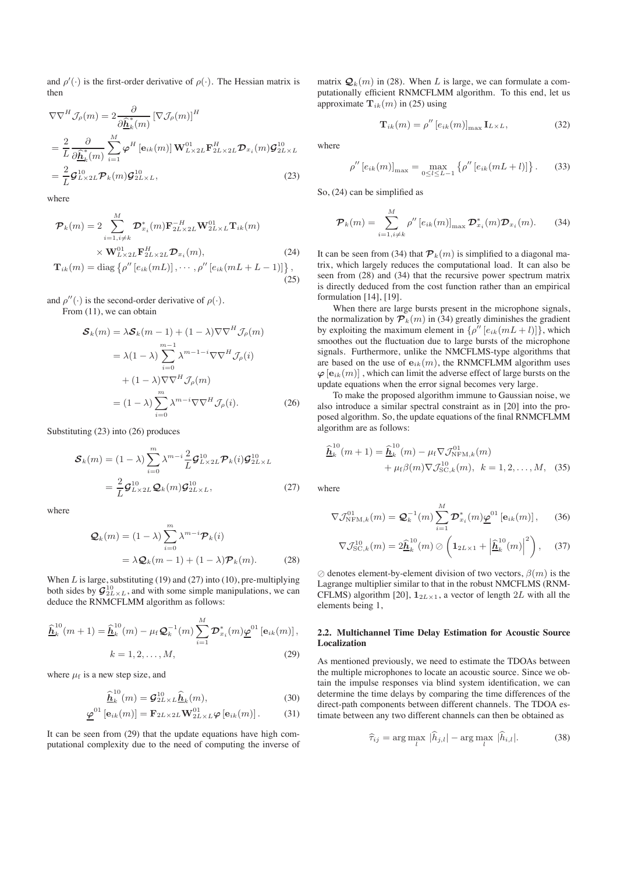and  $\rho'(\cdot)$  is the first-order derivative of  $\rho(\cdot)$ . The Hessian matrix is then

$$
\nabla \nabla^{H} \mathcal{J}_{\rho}(m) = 2 \frac{\partial}{\partial \hat{\mathbf{h}}_{k}^{*}(m)} \left[ \nabla \mathcal{J}_{\rho}(m) \right]^{H}
$$
  
\n
$$
= \frac{2}{L} \frac{\partial}{\partial \hat{\mathbf{h}}_{k}^{*}(m)} \sum_{i=1}^{M} \varphi^{H} \left[ \mathbf{e}_{ik}(m) \right] \mathbf{W}_{L \times 2L}^{01} \mathbf{F}_{2L \times 2L}^{H} \mathbf{\mathcal{D}}_{x_{i}}(m) \mathbf{\mathcal{G}}_{2L \times L}^{10}
$$
  
\n
$$
= \frac{2}{L} \mathbf{\mathcal{G}}_{L \times 2L}^{10} \mathbf{\mathcal{P}}_{k}(m) \mathbf{\mathcal{G}}_{2L \times L}^{10},
$$
\n(23)

where

$$
\mathcal{P}_k(m) = 2 \sum_{i=1, i \neq k}^{M} \mathcal{D}_{x_i}^*(m) \mathbf{F}_{2L \times 2L}^{-H} \mathbf{W}_{2L \times L}^{01} \mathbf{T}_{ik}(m)
$$
  
 
$$
\times \mathbf{W}_{L \times 2L}^{01} \mathbf{F}_{2L \times 2L}^{H} \mathcal{D}_{x_i}(m), \qquad (24)
$$
  
\n
$$
\mathbf{T}_{ik}(m) = \text{diag} \left\{ \rho'' \left[ e_{ik}(mL) \right], \cdots, \rho'' \left[ e_{ik}(mL + L - 1) \right] \right\}, \qquad (25)
$$

and  $\rho''(\cdot)$  is the second-order derivative of  $\rho(\cdot)$ .

From  $(11)$ , we can obtain

$$
\mathcal{S}_k(m) = \lambda \mathcal{S}_k(m-1) + (1-\lambda) \nabla \nabla^H \mathcal{J}_\rho(m)
$$
  
\n
$$
= \lambda (1-\lambda) \sum_{i=0}^{m-1} \lambda^{m-1-i} \nabla \nabla^H \mathcal{J}_\rho(i)
$$
  
\n
$$
+ (1-\lambda) \nabla \nabla^H \mathcal{J}_\rho(m)
$$
  
\n
$$
= (1-\lambda) \sum_{i=0}^m \lambda^{m-i} \nabla \nabla^H \mathcal{J}_\rho(i).
$$
 (26)

Substituting (23) into (26) produces

$$
\mathcal{S}_k(m) = (1 - \lambda) \sum_{i=0}^m \lambda^{m-i} \frac{2}{L} \mathcal{G}_{L \times 2L}^{10} \mathcal{P}_k(i) \mathcal{G}_{2L \times L}^{10}
$$

$$
= \frac{2}{L} \mathcal{G}_{L \times 2L}^{10} \mathcal{Q}_k(m) \mathcal{G}_{2L \times L}^{10}, \qquad (27)
$$

where

$$
\mathcal{Q}_k(m) = (1 - \lambda) \sum_{i=0}^{m} \lambda^{m-i} \mathcal{P}_k(i)
$$
  
=  $\lambda \mathcal{Q}_k(m-1) + (1 - \lambda) \mathcal{P}_k(m).$  (28)

When  $L$  is large, substituting (19) and (27) into (10), pre-multiplying both sides by  $\mathcal{G}_{2L\times L}^{10}$ , and with some simple manipulations, we can deduce the RNMCFLMM algorithm as follows:

$$
\begin{aligned} \hat{\underline{\mathbf{h}}}_{k}^{10}(m+1) &= \hat{\underline{\mathbf{h}}}_{k}^{10}(m) - \mu_{\rm f} \mathcal{Q}_{k}^{-1}(m) \sum_{i=1}^{M} \mathcal{D}_{x_{i}}^{*}(m) \underline{\varphi}^{01} \left[ \mathbf{e}_{ik}(m) \right], \\ k &= 1, 2, \dots, M, \end{aligned} \tag{29}
$$

where  $\mu_f$  is a new step size, and

$$
\hat{\underline{\mathbf{h}}}_k^{10}(m) = \underline{\mathbf{G}}_{2L \times L}^{10} \hat{\underline{\mathbf{h}}}_k(m), \tag{30}
$$

$$
\underline{\boldsymbol{\varphi}}^{01}\left[\mathbf{e}_{ik}(m)\right] = \mathbf{F}_{2L\times2L}\mathbf{W}_{2L\times L}^{01}\boldsymbol{\varphi}\left[\mathbf{e}_{ik}(m)\right].\tag{31}
$$

It can be seen from (29) that the update equations have high computational complexity due to the need of computing the inverse of matrix  $\mathcal{Q}_k(m)$  in (28). When L is large, we can formulate a computationally efficient RNMCFLMM algorithm. To this end, let us approximate  $\mathbf{T}_{ik}(m)$  in (25) using

$$
\mathbf{T}_{ik}(m) = \rho'' \left[ e_{ik}(m) \right]_{\text{max}} \mathbf{I}_{L \times L}, \tag{32}
$$

where

$$
\rho''\left[e_{ik}(m)\right]_{\max} = \max_{0 \le l \le L-1} \left\{ \rho''\left[e_{ik}(mL+l)\right] \right\}.
$$
 (33)

So, (24) can be simplified as

$$
\mathcal{P}_k(m) = \sum_{i=1, i \neq k}^{M} \rho'' \left[ e_{ik}(m) \right]_{\text{max}} \mathcal{D}_{x_i}^*(m) \mathcal{D}_{x_i}(m). \tag{34}
$$

It can be seen from (34) that  $P_k(m)$  is simplified to a diagonal matrix, which largely reduces the computational load. It can also be seen from (28) and (34) that the recursive power spectrum matrix is directly deduced from the cost function rather than an empirical formulation [14], [19].

When there are large bursts present in the microphone signals, the normalization by  $\mathcal{P}_k(m)$  in (34) greatly diminishes the gradient by exploiting the maximum element in  $\{\rho''\left[e_{ik}(mL+l)\right]\}$ , which smoothes out the fluctuation due to large bursts of the microphone signals. Furthermore, unlike the NMCFLMS-type algorithms that are based on the use of  $e_{ik}(m)$ , the RNMCFLMM algorithm uses  $\varphi$  [ $e_{ik}(m)$ ], which can limit the adverse effect of large bursts on the update equations when the error signal becomes very large.

To make the proposed algorithm immune to Gaussian noise, we also introduce a similar spectral constraint as in [20] into the proposed algorithm. So, the update equations of the final RNMCFLMM algorithm are as follows:

$$
\begin{split} \n\hat{\underline{\mathbf{h}}}_{k}^{10}(m+1) &= \hat{\underline{\mathbf{h}}}_{k}^{10}(m) - \mu_{\mathrm{f}} \nabla \mathcal{J}_{\mathrm{NFM},k}^{01}(m) \\ \n&+ \mu_{\mathrm{f}} \beta(m) \nabla \mathcal{J}_{\mathrm{SC},k}^{10}(m), \ \ k = 1, 2, \dots, M, \ \ (35) \n\end{split}
$$

where

$$
\nabla \mathcal{J}_{NFM,k}^{01}(m) = \mathcal{Q}_k^{-1}(m) \sum_{i=1}^M \mathcal{D}_{x_i}^*(m) \underline{\varphi}^{01} \left[ \mathbf{e}_{ik}(m) \right], \qquad (36)
$$

$$
\nabla \mathcal{J}^{10}_{\mathrm{SC},k}(m) = 2 \hat{\underline{\mathbf{h}}}^{10}_k(m) \oslash \left( \mathbf{1}_{2L \times 1} + \left| \hat{\underline{\mathbf{h}}}^{10}_k(m) \right|^2 \right), \quad (37)
$$

 $\oslash$  denotes element-by-element division of two vectors,  $\beta(m)$  is the Lagrange multiplier similar to that in the robust NMCFLMS (RNM-CFLMS) algorithm [20],  $\mathbf{1}_{2L\times1}$ , a vector of length  $2L$  with all the elements being 1,

#### **2.2. Multichannel Time Delay Estimation for Acoustic Source Localization**

As mentioned previously, we need to estimate the TDOAs between the multiple microphones to locate an acoustic source. Since we obtain the impulse responses via blind system identification, we can determine the time delays by comparing the time differences of the direct-path components between different channels. The TDOA estimate between any two different channels can then be obtained as

$$
\widehat{\tau}_{ij} = \arg \max_{l} |\widehat{h}_{j,l}| - \arg \max_{l} |\widehat{h}_{i,l}|. \tag{38}
$$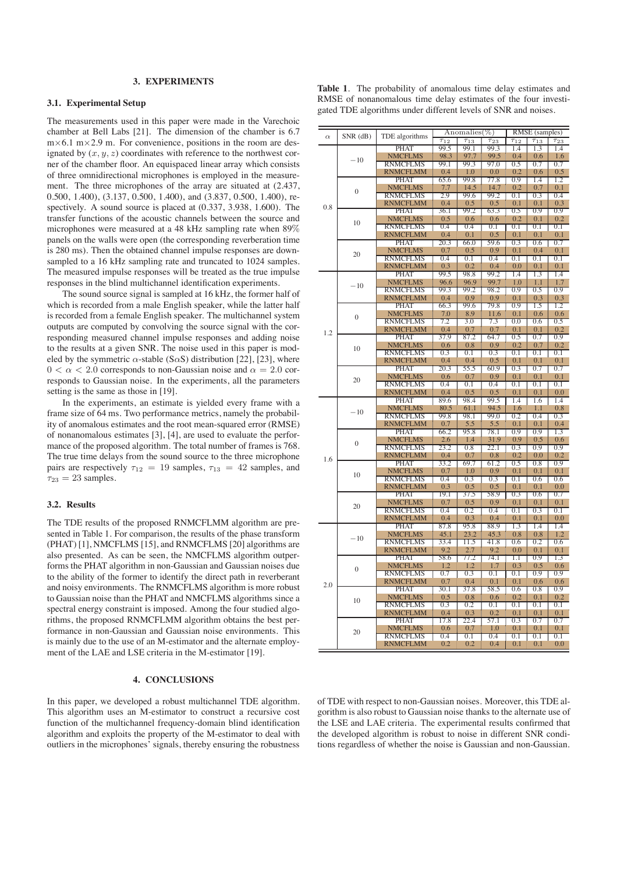## **3. EXPERIMENTS**

## **3.1. Experimental Setup**

The measurements used in this paper were made in the Varechoic chamber at Bell Labs [21]. The dimension of the chamber is 6.7  $m \times 6.1$  m $\times 2.9$  m. For convenience, positions in the room are designated by  $(x, y, z)$  coordinates with reference to the northwest corner of the chamber floor. An equispaced linear array which consists of three omnidirectional microphones is employed in the measurement. The three microphones of the array are situated at (2.437, 0.500, 1.400), (3.137, 0.500, 1.400), and (3.837, 0.500, 1.400), respectively. A sound source is placed at (0.337, 3.938, 1.600). The transfer functions of the acoustic channels between the source and microphones were measured at a 48 kHz sampling rate when 89% panels on the walls were open (the corresponding reverberation time is 280 ms). Then the obtained channel impulse responses are downsampled to a 16 kHz sampling rate and truncated to 1024 samples. The measured impulse responses will be treated as the true impulse responses in the blind multichannel identification experiments.

The sound source signal is sampled at 16 kHz, the former half of which is recorded from a male English speaker, while the latter half is recorded from a female English speaker. The multichannel system outputs are computed by convolving the source signal with the corresponding measured channel impulse responses and adding noise to the results at a given SNR. The noise used in this paper is modeled by the symmetric  $\alpha$ -stable (S $\alpha$ S) distribution [22], [23], where  $0 < \alpha < 2.0$  corresponds to non-Gaussian noise and  $\alpha = 2.0$  corresponds to Gaussian noise. In the experiments, all the parameters setting is the same as those in [19].

In the experiments, an estimate is yielded every frame with a frame size of 64 ms. Two performance metrics, namely the probability of anomalous estimates and the root mean-squared error (RMSE) of nonanomalous estimates [3], [4], are used to evaluate the performance of the proposed algorithm. The total number of frames is 768. The true time delays from the sound source to the three microphone pairs are respectively  $\tau_{12} = 19$  samples,  $\tau_{13} = 42$  samples, and  $\tau_{23} = 23$  samples.

## **3.2. Results**

The TDE results of the proposed RNMCFLMM algorithm are presented in Table 1. For comparison, the results of the phase transform (PHAT) [1], NMCFLMS [15], and RNMCFLMS [20] algorithms are also presented. As can be seen, the NMCFLMS algorithm outperforms the PHAT algorithm in non-Gaussian and Gaussian noises due to the ability of the former to identify the direct path in reverberant and noisy environments. The RNMCFLMS algorithm is more robust to Gaussian noise than the PHAT and NMCFLMS algorithms since a spectral energy constraint is imposed. Among the four studied algorithms, the proposed RNMCFLMM algorithm obtains the best performance in non-Gaussian and Gaussian noise environments. This is mainly due to the use of an M-estimator and the alternate employment of the LAE and LSE criteria in the M-estimator [19].

#### **4. CONCLUSIONS**

In this paper, we developed a robust multichannel TDE algorithm. This algorithm uses an M-estimator to construct a recursive cost function of the multichannel frequency-domain blind identification algorithm and exploits the property of the M-estimator to deal with outliers in the microphones' signals, thereby ensuring the robustness

| <b>Table 1.</b> The probability of anomalous time delay estimates and |  |  |  |  |  |
|-----------------------------------------------------------------------|--|--|--|--|--|
| RMSE of nonanomalous time delay estimates of the four investi-        |  |  |  |  |  |
| gated TDE algorithms under different levels of SNR and noises.        |  |  |  |  |  |

|          |                  |                         |                       | Anomalies(%)          | RMSE (samples)        |                       |                       |                       |
|----------|------------------|-------------------------|-----------------------|-----------------------|-----------------------|-----------------------|-----------------------|-----------------------|
| $\alpha$ | $SNR$ (dB)       | TDE algorithms          | $\widehat{\tau}_{12}$ | $\widehat{\tau}_{13}$ | $\widehat{\tau}_{23}$ | $\widehat{\tau}_{12}$ | $\widehat{\tau}_{13}$ | $\widehat{\tau}_{23}$ |
|          |                  | <b>PHAT</b>             | 99.5                  | 99.1                  | 99.3                  | 1.4                   | 1.3                   | 1.4                   |
|          |                  | <b>NMCFLMS</b>          | 98.3                  | 97.7                  | 99.5                  | 0.4                   | 0.6                   | 1.6                   |
|          | $-10$            | <b>RNMCFLMS</b>         | 99.1                  | 99.3                  | 97.0                  | 0.5                   | 0.7                   | 0.7                   |
|          |                  |                         | 0.4                   | 1.0                   | 0.0                   | 0.2                   | 0.6                   | 0.5                   |
|          |                  | <b>RNMCFLMM</b>         |                       |                       |                       |                       |                       |                       |
|          |                  | PHAT                    | 65.6                  | 99.8                  | 77.8                  | 0.9                   | 1.4                   | 1.2                   |
|          | $\mathbf{0}$     | <b>NMCFLMS</b>          | 7.7                   | 14.5                  | 14.7                  | 0.2                   | $_{0.7}$              | 0.1                   |
|          |                  | <b>RNMCFLMS</b>         | 2.9                   | 99.6                  | 99.2                  | $_{0.1}$              | 0.3                   | 0.4                   |
| 0.8      |                  | <b>RNMCFLMM</b>         | 0.4                   | 0.5                   | 0.5                   | 0.1                   | 0.1                   | 0.3                   |
|          |                  | PHAT                    | 36.1                  | 99.2                  | 63.3                  | 0.5                   | 0.9                   | 0.9                   |
|          | 10               | <b>NMCFLMS</b>          | 0.5                   | 0.6                   | 0.6                   | 0.2                   | 0.1                   | 0.2                   |
|          |                  | <b>RNMCFLMS</b>         | 0.4                   | 0.4                   | $_{0.1}$              | $_{0.1}$              | $_{0.1}$              | $_{0.1}$              |
|          |                  | <b>RNMCFLMM</b>         | 0.4                   | 0.1                   | 0.5                   | 0.1                   | 0.1                   | 0.1                   |
|          |                  | PHAT                    | 20.3                  | 66.0                  | 59.6                  | $_{0.3}$              | $_{0.6}$              | $_{0.7}$              |
|          |                  | <b>NMCFLMS</b>          | 0.7                   | 0.5                   | 0.9                   | 0.1                   | 0.4                   | 0.1                   |
|          | 20               | <b>RNMCFLMS</b>         | 0.4                   | 0.1                   | 0.4                   | 0.1                   | 0.1                   | 0.1                   |
|          |                  | <b>RNMCFLMM</b>         | 0.3                   | 0.2                   | 0.4                   | 0.0                   | 0.1                   | 0.1                   |
|          |                  | PHAT                    | 99.5                  | 98.8                  | 99.2                  | 1.4                   | 1.3                   | 1.4                   |
|          |                  | <b>NMCFLMS</b>          | 96.6                  | 96.9                  | 99.7                  | 1.0                   | 1.1                   | 1.7                   |
|          | $-10$            | <b>RNMCFLMS</b>         | 99.3                  | 99.2                  | 98.2                  | 0.9                   | 0.5                   | 0.9                   |
|          |                  | <b>RNMCFLMM</b>         | 0.4                   | 0.9                   | 0.9                   | 0.1                   | 0.3                   | 0.3                   |
|          |                  |                         |                       |                       |                       |                       |                       | 1.2                   |
|          |                  | PHAT                    | 66.3                  | 99.6                  | 79.8                  | 0.9                   | 1.5                   |                       |
|          | $\boldsymbol{0}$ | <b>NMCFLMS</b>          | 7.0                   | 8.9                   | 11.6                  | 0.1                   | 0.6                   | 0.6                   |
|          |                  | RNMCFLMS                | 7.2                   | 3.0                   | 7.3                   | $_{0.0}$              | 0.6                   | 0.5                   |
| 1.2      |                  | <b>RNMCFLMM</b>         | 0.4                   | 0.7                   | 0.7                   | 0.1                   | 0.1                   | 0.2                   |
|          |                  | <b>PHAT</b>             | 37.9                  | 87.2                  | 64.7                  | 0.5                   | 0.7                   | 0.9                   |
|          | 10               | <b>NMCFLMS</b>          | 0.6                   | 0.8                   | 0.9                   | 0.2                   | 0.7                   | 0.2                   |
|          |                  | <b>RNMCFLMS</b>         | 0.3                   | 0.1                   | 0.3                   | 0.1                   | 0.1                   | 0.1                   |
|          |                  | <b>RNMCFLMM</b>         | 0.4                   | 0.4                   | 0.5                   | 0.1                   | 0.1                   | 0.1                   |
|          |                  | PHAT                    | 20.3                  | 55.5                  | 60.9                  | $_{0.3}$              | $_{0.7}$              | 0.7                   |
|          | 20               | <b>NMCFLMS</b>          | 0.6                   | 0.7                   | 0.9                   | 0.1                   | 0.1                   | 0.1                   |
|          |                  | <b>RNMCFLMS</b>         | 0.4                   | 0.1                   | 0.4                   | 0.1                   | 0.1                   | 0.1                   |
|          |                  | RNMCFLMM                | 0.4                   | 0.5                   | 0.5                   | 0.1                   | 0.1                   | 0.0                   |
|          |                  | <b>PHAT</b>             | 89.6                  | 98.4                  | 99.5                  | 1.4                   | 1.6                   | 1.4                   |
|          |                  | <b>NMCFLMS</b>          | 80.5                  | 61.1                  | 94.5                  | 1.6                   | 1.1                   | 0.8                   |
|          | $-10$            | RNMCFLMS                | 99.8                  | 98.1                  | 99.0                  | 0.2                   | 0.4                   | 0.3                   |
|          |                  | <b>RNMCFLMM</b>         | 0.7                   | 5.5                   | 5.5                   | 0.1                   | 0.1                   | 0.4                   |
|          |                  | <b>PHAT</b>             |                       |                       |                       | 0.9                   |                       |                       |
|          |                  |                         | 66.2                  | 95.8                  | 78.I                  |                       | 0.9                   | 1.3                   |
|          | $\boldsymbol{0}$ | <b>NMCFLMS</b>          | 2.6                   | 1.4                   | 31.9                  | 0.9                   | 0.5                   | 0.6                   |
|          |                  | RNMCFLMS                | 23.2                  | $_{0.8}$              | 22.1                  | 0.3                   | 0.9                   | 0.9                   |
| 1.6      |                  | <b>RNMCFLMM</b>         | 0.4                   | 0.7                   | 0.8                   | 0.2                   | 0.0                   | 0.2                   |
|          |                  | PHAT                    | 33.2                  | 69.7                  | 61.2                  | 0.5                   | 0.8                   | 0.9                   |
|          | 10               | <b>NMCFLMS</b>          | 0.7                   | 1.0                   | 0.9                   | 0.1                   | 0.1                   | 0.1                   |
|          |                  | <b>RNMCFLMS</b>         | 0.4                   | 0.3                   | 0.3                   | $_{0.1}$              | 0.6                   | 0.6                   |
|          |                  | <b>RNMCFLMM</b>         | 0.3                   | 0.5                   | 0.5                   | 0.1                   | 0.1                   | 0.0                   |
|          |                  | PHAT                    | 19.1                  | 37.5                  | 58.9                  | 0.3                   | 0.6                   | $_{0.7}$              |
|          | 20               | <b>NMCFLMS</b>          | 0.7                   | 0.5                   | 0.9                   | 0.1                   | 0.1                   | 0.1                   |
|          |                  | <b>RNMCFLMS</b>         | 0.4                   | 0.2                   | 0.4                   | $_{0.1}$              | 0.3                   | $_{0.1}$              |
|          |                  | <b>RNMCFLMM</b>         | 0.4                   | 0.3                   | 0.4                   | 0.1                   | 0.1                   | 0.0                   |
|          |                  | <b>PHAT</b>             | 87.8                  | 95.8                  | 88.9                  | 1.3                   | 1.4                   | 1.4                   |
|          | $-10$            | <b>NMCFLMS</b>          | 45.1                  | 23.2                  | 45.3                  | 0.8                   | 0.8                   | 1.2                   |
|          |                  | <b>RNMCFLMS</b>         | 33.4                  | 11.5                  | 41.8                  | 0.6                   | 0.2                   | 0.6                   |
|          |                  | <b>RNMCFLMM</b>         | 9.2                   | 2.7                   | 9.2                   | 0.0                   | 0.1                   | 0.1                   |
|          |                  | PHAT                    | 58.6                  | 77.2                  | 74.1                  | 1.1                   | 0.9                   | 1.3                   |
|          | $\boldsymbol{0}$ | <b>NMCFLMS</b>          | 1.2                   | 1.2                   | 1.7                   | 0.3                   | 0.5                   | 0.6                   |
| 2.0      |                  | <b>RNMCFLMS</b>         | 0.7                   | 0.3                   | $_{0.1}$              | 0.1                   | 0.9                   | 0.9                   |
|          |                  |                         | 0.7                   | 0.4                   | 0.1                   | 0.1                   | 0.6                   |                       |
|          |                  | <b>RNMCFLMM</b><br>PHAT |                       |                       | 58.5                  |                       | 0.8                   | 0.6                   |
|          |                  |                         | 30.1                  | 37.8                  |                       | 0.6                   |                       | 0.9                   |
|          | 10               | <b>NMCFLMS</b>          | 0.5                   | 0.8                   | 0.6                   | 0.2                   | 0.1                   | 0.2                   |
|          |                  | <b>RNMCFLMS</b>         | 0.3                   | 0.2                   | $_{0.1}$              | 0.1                   | 0.1                   | 0.1                   |
|          |                  | <b>RNMCFLMM</b>         | 0.4                   | 0.3                   | 0.2                   | 0.1                   | 0.1                   | 0.1                   |
|          |                  | PHAT                    | 17.8                  | 22.4                  | 57.1                  | 0.3                   | $_{0.7}$              | 0.7                   |
|          | 20               | <b>NMCFLMS</b>          | 0.6                   | 0.7                   | 1.0                   | 0.1                   | $_{0.1}$              | 0.1                   |
|          |                  | <b>RNMCFLMS</b>         | 0.4                   | $_{0.1}$              | 0.4                   | $_{0.1}$              | $_{0.1}$              | $_{0.1}$              |
|          |                  | <b>RNMCFLMM</b>         | 0.2                   | 0.2                   | 0.4                   | 0.1                   | 0.1                   | 0.0                   |

of TDE with respect to non-Gaussian noises. Moreover, this TDE algorithm is also robust to Gaussian noise thanks to the alternate use of the LSE and LAE criteria. The experimental results confirmed that the developed algorithm is robust to noise in different SNR conditions regardless of whether the noise is Gaussian and non-Gaussian.